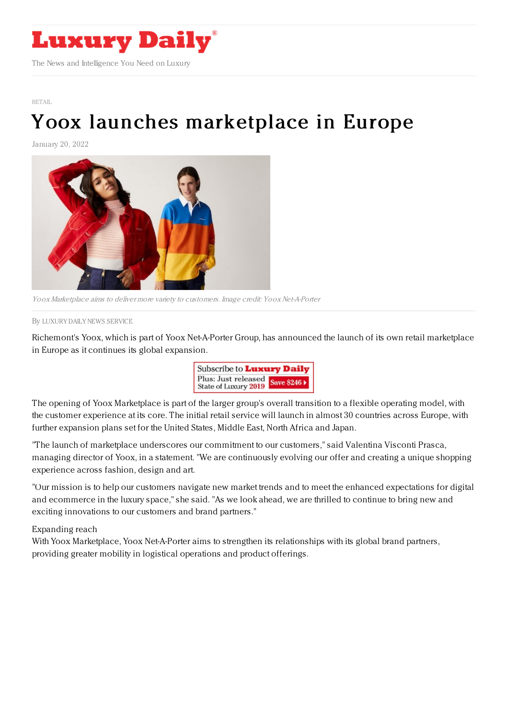

[RETAIL](https://www.luxurydaily.com/category/sectors/retail-industry-sectors/)

## Yoox launches [marketplace](https://www.luxurydaily.com/yoox-launches-marketplace-in-europe/) in Europe

January 20, 2022



Yoox Marketplace aims to deliver more variety to customers. Image credit: Yoox Net-A-Porter

By LUXURY DAILY NEWS [SERVICE](file:///author/luxury-daily-news-service)

Richemont's Yoox, which is part of Yoox Net-A-Porter Group, has announced the launch of its own retail marketplace in Europe as it continues its global expansion.



The opening of Yoox Marketplace is part of the larger group's overall transition to a flexible operating model, with the customer experience at its core. The initial retail service will launch in almost 30 countries across Europe, with further expansion plans set for the United States, Middle East, North Africa and Japan.

"The launch of marketplace underscores our commitment to our customers," said Valentina Visconti Prasca, managing director of Yoox, in a statement. "We are continuously evolving our offer and creating a unique shopping experience across fashion, design and art.

"Our mission is to help our customers navigate new market trends and to meet the enhanced expectations for digital and ecommerce in the luxury space," she said. "As we look ahead, we are thrilled to continue to bring new and exciting innovations to our customers and brand partners."

Expanding reach

With Yoox Marketplace, Yoox Net-A-Porter aims to strengthen its relationships with its global brand partners, providing greater mobility in logistical operations and product offerings.